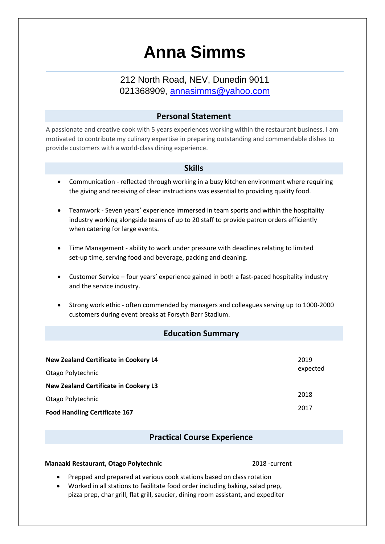# **Anna Simms**

## 212 North Road, NEV, Dunedin 9011 021368909, annasimms@yahoo.com

## **Personal Statement**

A passionate and creative cook with 5 years experiences working within the restaurant business. I am motivated to contribute my culinary expertise in preparing outstanding and commendable dishes to provide customers with a world-class dining experience.

#### **Skills**

- Communication reflected through working in a busy kitchen environment where requiring the giving and receiving of clear instructions was essential to providing quality food.
- Teamwork Seven years' experience immersed in team sports and within the hospitality industry working alongside teams of up to 20 staff to provide patron orders efficiently when catering for large events.
- Time Management ability to work under pressure with deadlines relating to limited set-up time, serving food and beverage, packing and cleaning.
- Customer Service four years' experience gained in both a fast-paced hospitality industry and the service industry.
- Strong work ethic often commended by managers and colleagues serving up to 1000-2000 customers during event breaks at Forsyth Barr Stadium.

## **Education Summary**

| New Zealand Certificate in Cookery L4        | 2019<br>expected |
|----------------------------------------------|------------------|
| Otago Polytechnic                            |                  |
| <b>New Zealand Certificate in Cookery L3</b> |                  |
| Otago Polytechnic                            | 2018             |
| <b>Food Handling Certificate 167</b>         | 2017             |

## **Practical Course Experience**

#### **Manaaki Restaurant, Otago Polytechnic** 2018 -current

- Prepped and prepared at various cook stations based on class rotation
- Worked in all stations to facilitate food order including baking, salad prep, pizza prep, char grill, flat grill, saucier, dining room assistant, and expediter